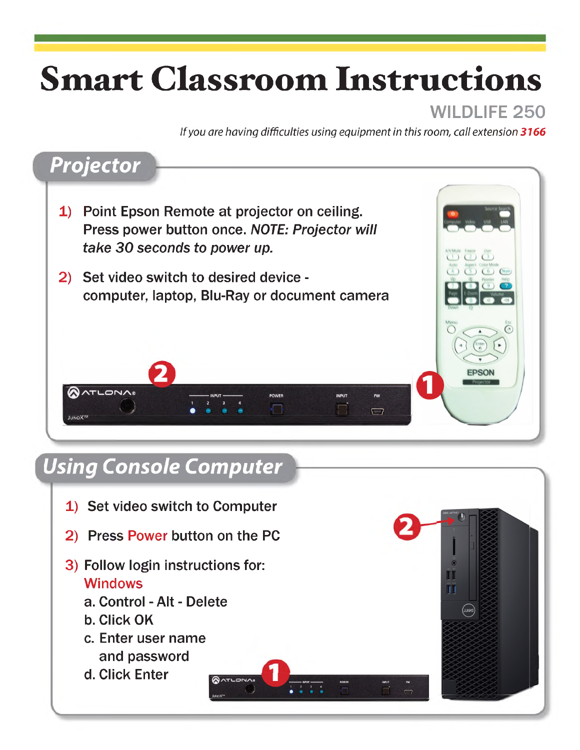# **Smart Classroom Instructions**

#### WILDLIFF 250

*If you are having difficulties using equipment in this room, call extension 3166*

### *Projector*

- 1) Point Epson Remote at projector on ceiling. Press power button once. *NOTE: Projector will take 30 seconds to power up.*
- 2) Set video switch to desired device computer, laptop, Blu-Ray or document camera



#### *Using Console Computer*

1) Set video switch to Computer 2) Press Power button on the PC 3) Follow login instructions for: **TIT Windows** ΠĪ a. Control - Alt - Delete b. Click OK c. Enter user name and password d. Click Enter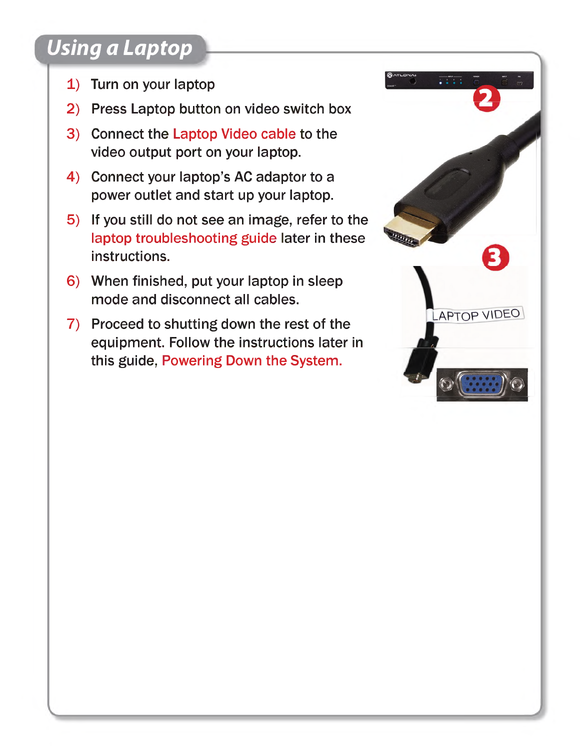# *Using a Laptop*

- 1) Turn on your laptop
- 2) Press Laptop button on video switch box
- 3) Connect the Laptop Video cable to the video output port on your laptop.
- 4) Connect your laptop's AC adaptor to a power outlet and start up your laptop.
- 5) If you still do not see an image, refer to the laptop troubleshooting guide later in these instructions.
- 6) When finished, put your laptop in sleep mode and disconnect all cables.
- 7) Proceed to shutting down the rest of the equipment. Follow the instructions later in this guide, Powering Down the System.

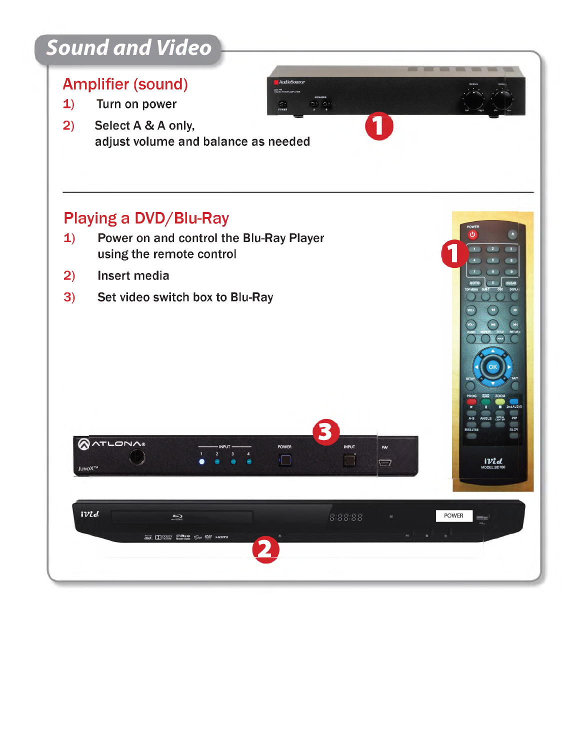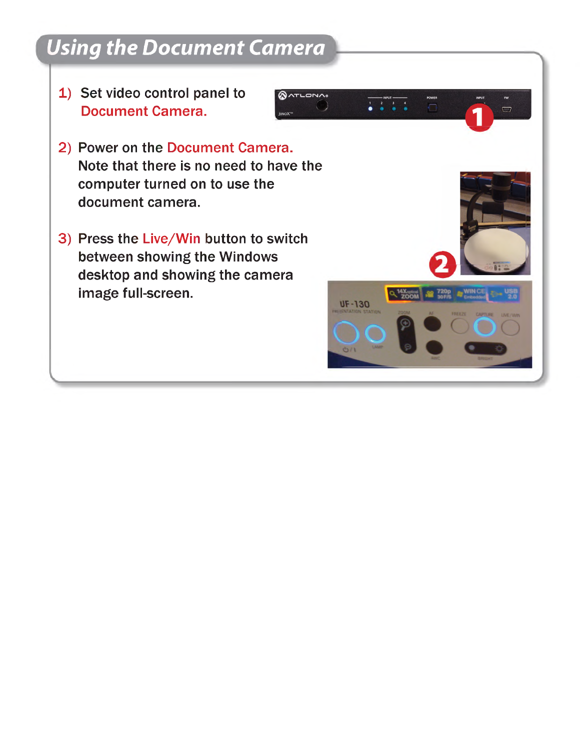# *Using the Document Camera*

1) Set video control panel to Document Camera.



3) Press the Live/Win button to switch between showing the Windows desktop and showing the camera image full-screen.